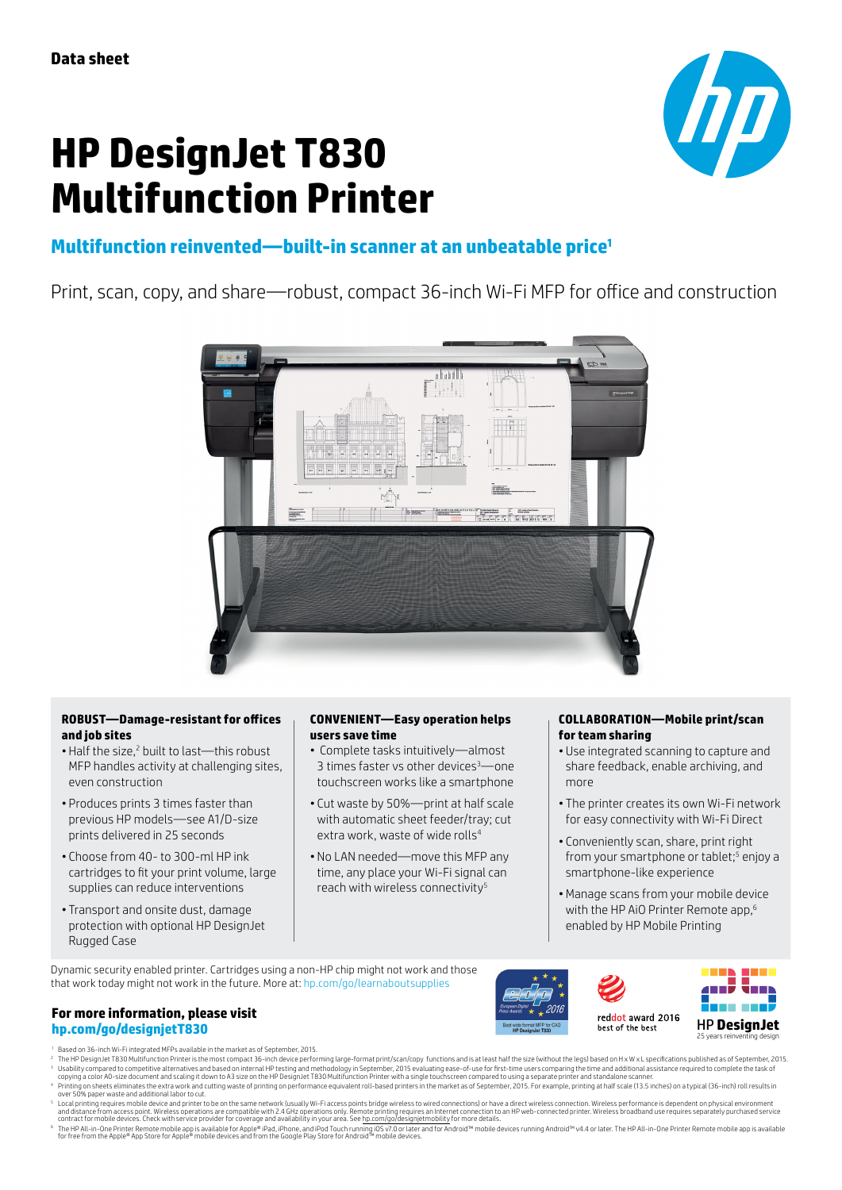# **HP DesignJet T830 Multifunction Printer**



# **Multifunction reinvented—built-in scanner at an unbeatable price<sup>1</sup>**

Print, scan, copy, and share—robust, compact 36-inch Wi-Fi MFP for office and construction



# **ROBUST—Damage-resistant for offices and job sites**

- Half the size,<sup>2</sup> built to last—this robust MFP handles activity at challenging sites, even construction
- Produces prints 3 times faster than previous HP models—see A1/D-size prints delivered in 25 seconds
- Choose from 40- to 300-ml HP ink cartridges to fit your print volume, large supplies can reduce interventions
- Transport and onsite dust, damage protection with optional HP DesignJet Rugged Case

# **CONVENIENT—Easy operation helps users save time**

- Complete tasks intuitively—almost 3 times faster vs other devices<sup>3</sup>—one touchscreen works like a smartphone
- Cut waste by 50%—print at half scale with automatic sheet feeder/tray; cut extra work, waste of wide rolls<sup>4</sup>
- No LAN needed—move this MFP any time, any place your Wi-Fi signal can reach with wireless connectivity<sup>5</sup>

# **COLLABORATION—Mobile print/scan for team sharing**

- Use integrated scanning to capture and share feedback, enable archiving, and more
- The printer creates its own Wi-Fi network for easy connectivity with Wi-Fi Direct
- Conveniently scan, share, print right from your smartphone or tablet;<sup>5</sup> enjoy a smartphone-like experience
- •Manage scans from your mobile device with the HP AiO Printer Remote app.<sup>6</sup> enabled by HP Mobile Printing

Dynamic security enabled printer. Cartridges using a non-HP chip might not work and those that work today might not work in the future. More at: [hp.com/go/learnaboutsupplies](http://hp.com/go/learnaboutsupplies)





# **For more information, please visit [hp.com/go/designjetT830](http://hp.com/go/designjetT830)** 25 Perside the best **PDDe**

- <sup>1</sup> Based on 36-inch Wi-Fi integrated MFPs available in the market as of September, 2015.
- District of the State of the Manuscus Compact 36-inch device performing large-format print/scan/copy functions and is at least half the size (without the legs) based on H x W x L specifications published as of Sept
- <sup>3</sup> Usabilty compared to competitive alternatives and based on internal HP testing and methodolog in September, 2015 evaluating ease-of-use for first-time users compareint that also the host of methodology in the and propo
- Printing on sheets eliminates he extra work and cutting waste of printing on performance equivalent roll-based printers in the market as of September, 2015. For example, printing at half scale (13.5 inches) on a typical (3
- © The HP All-in-One Printer Remote mobile app is available for Apple® iPhone, and iPod, lownling iOS v7.0 or later and for Android™ mobile devices running Android™ vt4.4 or later. The HP All-in-One Printer Remote mobile a